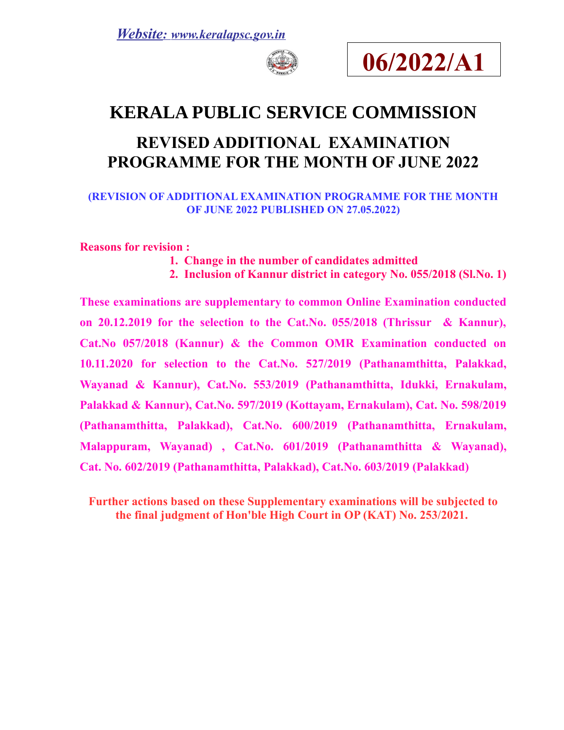



## **KERALA PUBLIC SERVICE COMMISSION**

# **REVISED ADDITIONAL EXAMINATION PROGRAMME FOR THE MONTH OF JUNE 2022**

### **(REVISION OF ADDITIONAL EXAMINATION PROGRAMME FOR THE MONTH OF JUNE 2022 PUBLISHED ON 27.05.2022)**

**Reasons for revision :** 

- **1. Change in the number of candidates admitted**
- **2. Inclusion of Kannur district in category No. 055/2018 (Sl.No. 1)**

**These examinations are supplementary to common Online Examination conducted on 20.12.2019 for the selection to the Cat.No. 055/2018 (Thrissur & Kannur), Cat.No 057/2018 (Kannur) & the Common OMR Examination conducted on 10.11.2020 for selection to the Cat.No. 527/2019 (Pathanamthitta, Palakkad, Wayanad & Kannur), Cat.No. 553/2019 (Pathanamthitta, Idukki, Ernakulam, Palakkad & Kannur), Cat.No. 597/2019 (Kottayam, Ernakulam), Cat. No. 598/2019 (Pathanamthitta, Palakkad), Cat.No. 600/2019 (Pathanamthitta, Ernakulam, Malappuram, Wayanad) , Cat.No. 601/2019 (Pathanamthitta & Wayanad), Cat. No. 602/2019 (Pathanamthitta, Palakkad), Cat.No. 603/2019 (Palakkad)**

**Further actions based on these Supplementary examinations will be subjected to the final judgment of Hon'ble High Court in OP (KAT) No. 253/2021.**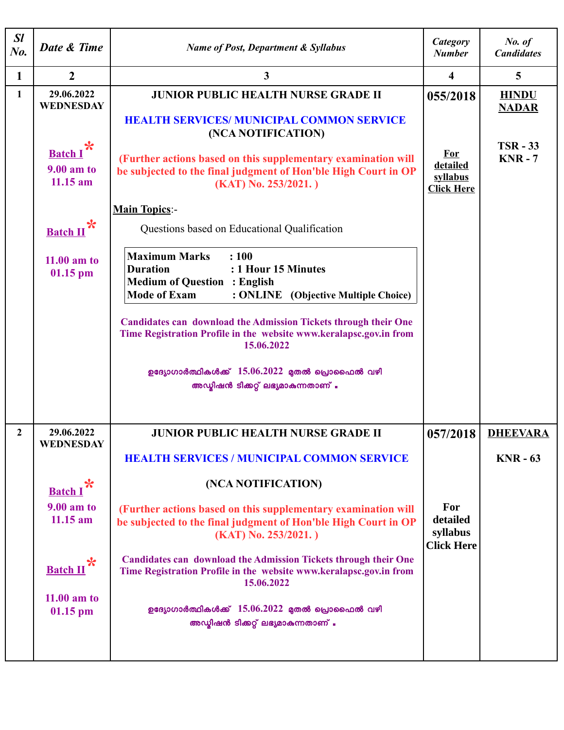| SI<br>$N_{0}$ . | Date & Time                                                                                                                          | <b>Name of Post, Department &amp; Syllabus</b>                                                                                                                                                                                                                                                                                                                                                                                                                                                                                           | Category<br><b>Number</b>                                           | No. of<br><b>Candidates</b>                                     |
|-----------------|--------------------------------------------------------------------------------------------------------------------------------------|------------------------------------------------------------------------------------------------------------------------------------------------------------------------------------------------------------------------------------------------------------------------------------------------------------------------------------------------------------------------------------------------------------------------------------------------------------------------------------------------------------------------------------------|---------------------------------------------------------------------|-----------------------------------------------------------------|
| $\mathbf{1}$    | $\boldsymbol{2}$                                                                                                                     | $\mathbf{3}$                                                                                                                                                                                                                                                                                                                                                                                                                                                                                                                             | 4                                                                   | $5\phantom{.0}$                                                 |
| 1               | 29.06.2022<br><b>WEDNESDAY</b><br>Batch I <sup>*</sup><br>9.00 am to<br>$11.15$ am<br><b>Batch II</b><br>$11.00$ am to<br>$01.15$ pm | <b>JUNIOR PUBLIC HEALTH NURSE GRADE II</b><br><b>HEALTH SERVICES/ MUNICIPAL COMMON SERVICE</b><br>(NCA NOTIFICATION)<br>(Further actions based on this supplementary examination will<br>be subjected to the final judgment of Hon'ble High Court in OP<br>(KAT) No. 253/2021.)<br><b>Main Topics:-</b><br>Questions based on Educational Qualification<br><b>Maximum Marks</b><br>: 100<br><b>Duration</b><br>: 1 Hour 15 Minutes<br><b>Medium of Question : English</b><br><b>Mode of Exam</b><br>: ONLINE (Objective Multiple Choice) | 055/2018<br><b>For</b><br>detailed<br>syllabus<br><b>Click Here</b> | <b>HINDU</b><br><b>NADAR</b><br><b>TSR - 33</b><br><b>KNR-7</b> |
|                 |                                                                                                                                      | <b>Candidates can download the Admission Tickets through their One</b><br>Time Registration Profile in the website www.keralapsc.gov.in from<br>15.06.2022<br>ഉദ്യോഗാർത്ഥികൾക്ക് $15.06.2022$ മുതൽ പ്രൊഫൈൽ വഴി<br>അഡ്യിഷൻ ടിക്കറ്റ് ലഭ്യമാകുന്നതാണ് .                                                                                                                                                                                                                                                                                    |                                                                     |                                                                 |
| $\overline{2}$  | 29.06.2022<br>WEDNESDAY                                                                                                              | <b>JUNIOR PUBLIC HEALTH NURSE GRADE II</b>                                                                                                                                                                                                                                                                                                                                                                                                                                                                                               | 057/2018                                                            | <b>DHEEVARA</b>                                                 |
|                 | $\boldsymbol{\ast}$<br><b>Batch I</b><br>9.00 am to<br>$11.15$ am<br>℀<br><b>Batch II</b><br>$11.00$ am to<br>$01.15$ pm             | <b>HEALTH SERVICES / MUNICIPAL COMMON SERVICE</b><br>(NCA NOTIFICATION)<br>(Further actions based on this supplementary examination will<br>be subjected to the final judgment of Hon'ble High Court in OP<br>(KAT) No. 253/2021.)<br><b>Candidates can download the Admission Tickets through their One</b><br>Time Registration Profile in the website www.keralapsc.gov.in from<br>15.06.2022<br>ഉദ്യോഗാർത്ഥികൾക്ക് $15.06.2022$ മുതൽ പ്രൊഫൈൽ വഴി<br>അഡ്യിഷൻ ടിക്കറ്റ് ലഭ്യമാകുന്നതാണ് .                                              | For<br>detailed<br>syllabus<br><b>Click Here</b>                    | $KNR - 63$                                                      |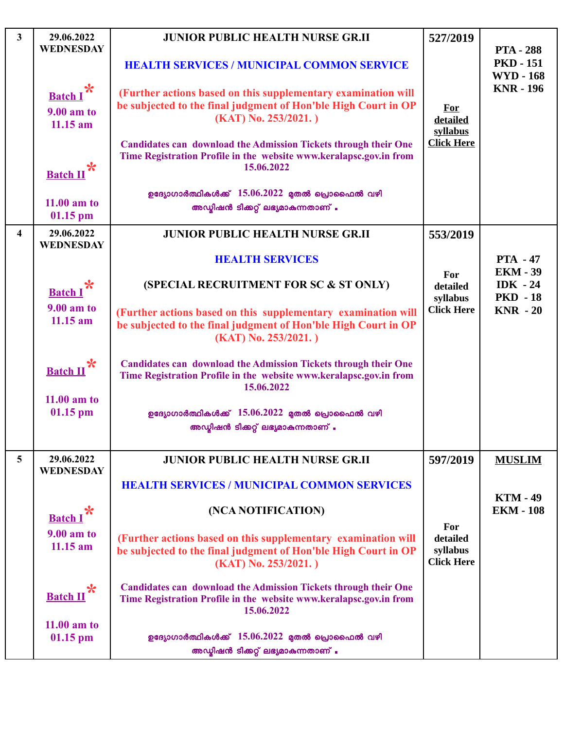| $\mathbf{3}$            | 29.06.2022<br><b>WEDNESDAY</b>         | <b>JUNIOR PUBLIC HEALTH NURSE GR.II</b>                                                                                                                    | 527/2019                                         | <b>PTA - 288</b>                     |
|-------------------------|----------------------------------------|------------------------------------------------------------------------------------------------------------------------------------------------------------|--------------------------------------------------|--------------------------------------|
|                         |                                        | <b>HEALTH SERVICES / MUNICIPAL COMMON SERVICE</b>                                                                                                          |                                                  | <b>PKD - 151</b><br><b>WYD - 168</b> |
|                         | Batch I*<br>$9.00$ am to<br>$11.15$ am | (Further actions based on this supplementary examination will<br>be subjected to the final judgment of Hon'ble High Court in OP<br>(KAT) No. 253/2021.)    | <b>For</b><br>detailed<br>syllabus               | <b>KNR - 196</b>                     |
|                         | <b>Batch II</b>                        | <b>Candidates can download the Admission Tickets through their One</b><br>Time Registration Profile in the website www.keralapsc.gov.in from<br>15.06.2022 | <b>Click Here</b>                                |                                      |
|                         | $11.00$ am to<br>$01.15$ pm            | ഉദ്യോഗാർത്ഥികൾക്ക് $15.06.2022$ മുതൽ പ്രൊഫൈൽ വഴി<br>അഡ്യിഷൻ ടിക്കറ്റ് ലഭ്യമാകുന്നതാണ് .                                                                    |                                                  |                                      |
| $\overline{\mathbf{4}}$ | 29.06.2022<br><b>WEDNESDAY</b>         | <b>JUNIOR PUBLIC HEALTH NURSE GR.II</b>                                                                                                                    | 553/2019                                         |                                      |
|                         |                                        | <b>HEALTH SERVICES</b>                                                                                                                                     |                                                  | <b>PTA - 47</b><br><b>EKM - 39</b>   |
|                         | <b>Batch I</b>                         | (SPECIAL RECRUITMENT FOR SC & ST ONLY)                                                                                                                     | For<br>detailed<br>syllabus                      | IDK $-24$<br><b>PKD</b> - 18         |
|                         | $9.00$ am to<br>$11.15$ am             | (Further actions based on this supplementary examination will<br>be subjected to the final judgment of Hon'ble High Court in OP<br>(KAT) No. 253/2021.)    | <b>Click Here</b>                                | $KNR - 20$                           |
|                         | <b>Batch II</b><br>$11.00$ am to       | <b>Candidates can download the Admission Tickets through their One</b><br>Time Registration Profile in the website www.keralapsc.gov.in from<br>15.06.2022 |                                                  |                                      |
|                         | $01.15$ pm                             | ഉദ്യോഗാർത്ഥികൾക്ക് $15.06.2022$ മുതൽ പ്രൊഫൈൽ വഴി<br>അഡ്യിഷൻ ടിക്കറ്റ് ലഭ്യമാകുന്നതാണ് .                                                                    |                                                  |                                      |
| $\overline{5}$          | 29.06.2022<br><b>WEDNESDAY</b>         | <b>JUNIOR PUBLIC HEALTH NURSE GR.II</b>                                                                                                                    | 597/2019                                         | <b>MUSLIM</b>                        |
|                         |                                        | <b>HEALTH SERVICES / MUNICIPAL COMMON SERVICES</b>                                                                                                         |                                                  | <b>KTM - 49</b>                      |
|                         | <b>Batch I</b>                         | (NCA NOTIFICATION)                                                                                                                                         |                                                  | <b>EKM - 108</b>                     |
|                         | $9.00$ am to<br>$11.15$ am             | (Further actions based on this supplementary examination will<br>be subjected to the final judgment of Hon'ble High Court in OP<br>(KAT) No. 253/2021.)    | For<br>detailed<br>syllabus<br><b>Click Here</b> |                                      |
|                         | $\ast$<br><b>Batch II</b>              | <b>Candidates can download the Admission Tickets through their One</b><br>Time Registration Profile in the website www.keralapsc.gov.in from<br>15.06.2022 |                                                  |                                      |
|                         | $11.00$ am to<br>$01.15$ pm            | ഉദ്യോഗാർത്ഥികൾക്ക് $15.06.2022$ മുതൽ പ്രൊഫൈൽ വഴി<br>അഡ്യിഷൻ ടിക്കറ്റ് ലഭ്യമാകുന്നതാണ് .                                                                    |                                                  |                                      |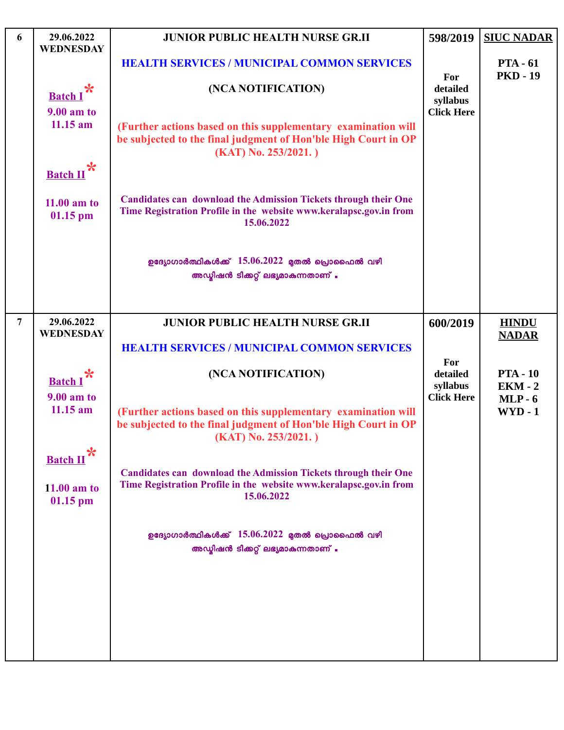| 6              | 29.06.2022<br><b>WEDNESDAY</b> | <b>JUNIOR PUBLIC HEALTH NURSE GR.II</b>                                                                                                                    | 598/2019             | <b>SIUC NADAR</b>                  |
|----------------|--------------------------------|------------------------------------------------------------------------------------------------------------------------------------------------------------|----------------------|------------------------------------|
|                |                                | <b>HEALTH SERVICES / MUNICIPAL COMMON SERVICES</b>                                                                                                         | For                  | <b>PTA - 61</b><br><b>PKD - 19</b> |
|                | $\ast$<br><b>Batch I</b>       | (NCA NOTIFICATION)                                                                                                                                         | detailed<br>syllabus |                                    |
|                | 9.00 am to<br>$11.15$ am       |                                                                                                                                                            | <b>Click Here</b>    |                                    |
|                |                                | (Further actions based on this supplementary examination will<br>be subjected to the final judgment of Hon'ble High Court in OP<br>(KAT) No. 253/2021.)    |                      |                                    |
|                | *<br><b>Batch II</b>           |                                                                                                                                                            |                      |                                    |
|                | $11.00$ am to<br>$01.15$ pm    | <b>Candidates can download the Admission Tickets through their One</b><br>Time Registration Profile in the website www.keralapsc.gov.in from<br>15.06.2022 |                      |                                    |
|                |                                | ഉദ്യോഗാർത്ഥികൾക്ക് $15.06.2022$ മുതൽ പ്രൊഫൈൽ വഴി                                                                                                           |                      |                                    |
|                |                                | അഡ്യിഷൻ ടിക്കറ്റ് ലഭ്യമാകുന്നതാണ് .                                                                                                                        |                      |                                    |
| $\overline{7}$ | 29.06.2022                     | <b>JUNIOR PUBLIC HEALTH NURSE GR.II</b>                                                                                                                    | 600/2019             | <b>HINDU</b>                       |
|                | <b>WEDNESDAY</b>               |                                                                                                                                                            |                      | <b>NADAR</b>                       |
|                |                                | <b>HEALTH SERVICES / MUNICIPAL COMMON SERVICES</b>                                                                                                         | For                  |                                    |
|                | <b>Batch I</b>                 | (NCA NOTIFICATION)                                                                                                                                         | detailed<br>syllabus | <b>PTA - 10</b><br>$EKM - 2$       |
|                | 9.00 am to<br>$11.15$ am       | (Further actions based on this supplementary examination will<br>be subjected to the final judgment of Hon'ble High Court in OP<br>$(KAT)$ No. 253/2021.)  | <b>Click Here</b>    | $MLP - 6$<br>$WYD - 1$             |
|                | ✬<br><b>Batch II</b>           |                                                                                                                                                            |                      |                                    |
|                | $11.00$ am to<br>$01.15$ pm    | <b>Candidates can download the Admission Tickets through their One</b><br>Time Registration Profile in the website www.keralapsc.gov.in from<br>15.06.2022 |                      |                                    |
|                |                                |                                                                                                                                                            |                      |                                    |
|                |                                | ഉദ്യോഗാർത്ഥികൾക്ക് $15.06.2022$ മുതൽ പ്രൊഫൈൽ വഴി<br>അഡ്യിഷൻ ടിക്കറ്റ് ലഭ്യമാകുന്നതാണ് .                                                                    |                      |                                    |
|                |                                |                                                                                                                                                            |                      |                                    |
|                |                                |                                                                                                                                                            |                      |                                    |
|                |                                |                                                                                                                                                            |                      |                                    |
|                |                                |                                                                                                                                                            |                      |                                    |
|                |                                |                                                                                                                                                            |                      |                                    |

L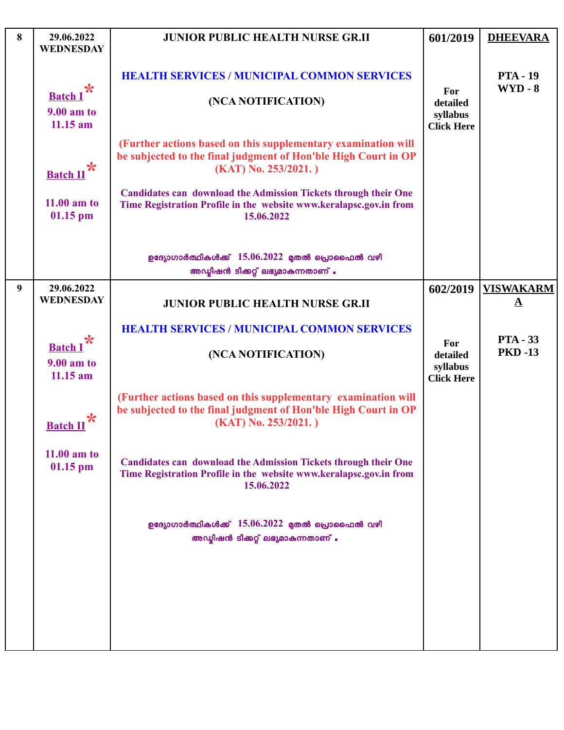| 8 | 29.06.2022<br><b>WEDNESDAY</b>                       | <b>JUNIOR PUBLIC HEALTH NURSE GR.II</b>                                                                                                                                                                                             | 601/2019                                         | <b>DHEEVARA</b>                              |
|---|------------------------------------------------------|-------------------------------------------------------------------------------------------------------------------------------------------------------------------------------------------------------------------------------------|--------------------------------------------------|----------------------------------------------|
|   | Batch I*<br><b>9.00 am to</b><br>$11.15$ am          | <b>HEALTH SERVICES / MUNICIPAL COMMON SERVICES</b><br>(NCA NOTIFICATION)                                                                                                                                                            | For<br>detailed<br>syllabus<br><b>Click Here</b> | <b>PTA - 19</b><br>$WYD - 8$                 |
|   | Batch $\mathbf{u}^*$                                 | (Further actions based on this supplementary examination will<br>be subjected to the final judgment of Hon'ble High Court in OP<br>$(KAT)$ No. 253/2021.)<br><b>Candidates can download the Admission Tickets through their One</b> |                                                  |                                              |
|   | $11.00$ am to<br>$01.15$ pm                          | Time Registration Profile in the website www.keralapsc.gov.in from<br>15.06.2022                                                                                                                                                    |                                                  |                                              |
|   |                                                      | ഉദ്യോഗാർത്ഥികൾക്ക് $15.06.2022$ മുതൽ പ്രൊഫൈൽ വഴി<br>അഡ്യിഷൻ ടിക്കറ്റ് ലഭ്യമാകുന്നതാണ് .                                                                                                                                             |                                                  |                                              |
| 9 | 29.06.2022<br><b>WEDNESDAY</b>                       | <b>JUNIOR PUBLIC HEALTH NURSE GR.II</b>                                                                                                                                                                                             | 602/2019                                         | <b>VISWAKARM</b><br>$\mathbf{\underline{A}}$ |
|   | $\ast$<br><b>Batch I</b><br>9.00 am to<br>$11.15$ am | <b>HEALTH SERVICES / MUNICIPAL COMMON SERVICES</b><br>(NCA NOTIFICATION)                                                                                                                                                            | For<br>detailed<br>syllabus<br><b>Click Here</b> | <b>PTA - 33</b><br><b>PKD-13</b>             |
|   | <b>Batch II</b>                                      | (Further actions based on this supplementary examination will<br>be subjected to the final judgment of Hon'ble High Court in OP<br>$(KAT)$ No. 253/2021.)                                                                           |                                                  |                                              |
|   | $11.00$ am to<br>$01.15$ pm                          | <b>Candidates can download the Admission Tickets through their One</b><br>Time Registration Profile in the website www.keralapsc.gov.in from<br>15.06.2022                                                                          |                                                  |                                              |
|   |                                                      | ഉദ്യോഗാർത്ഥികൾക്ക് $15.06.2022$ മുതൽ പ്രൊഫൈൽ വഴി<br>അഡ്യിഷൻ ടിക്കറ്റ് ലഭ്യമാകുന്നതാണ് .                                                                                                                                             |                                                  |                                              |
|   |                                                      |                                                                                                                                                                                                                                     |                                                  |                                              |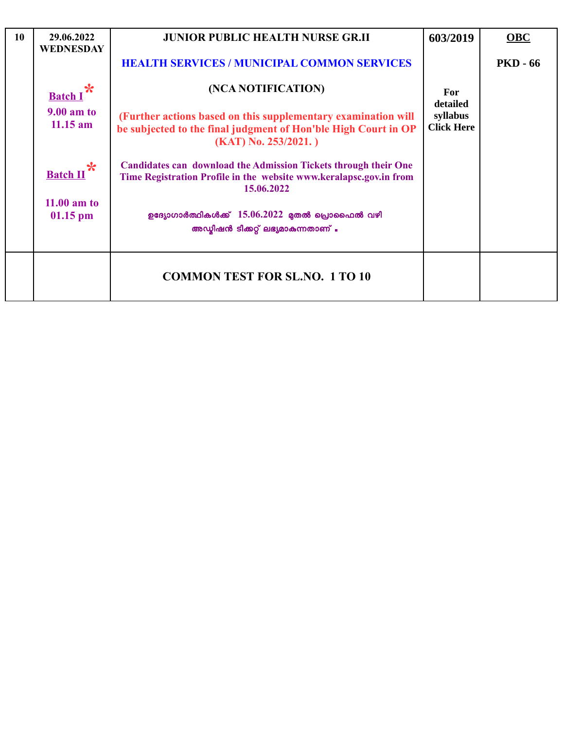| 10 | 29.06.2022<br><b>WEDNESDAY</b>                  | <b>JUNIOR PUBLIC HEALTH NURSE GR.II</b>                                                                                                                    | 603/2019                      | OBC             |
|----|-------------------------------------------------|------------------------------------------------------------------------------------------------------------------------------------------------------------|-------------------------------|-----------------|
|    |                                                 | <b>HEALTH SERVICES / MUNICIPAL COMMON SERVICES</b>                                                                                                         |                               | <b>PKD - 66</b> |
|    | <b>Batch</b><br><b>9.00 am to</b><br>$11.15$ am | (NCA NOTIFICATION)                                                                                                                                         | For<br>detailed               |                 |
|    |                                                 | (Further actions based on this supplementary examination will<br>be subjected to the final judgment of Hon'ble High Court in OP<br>$(KAT)$ No. 253/2021.)  | syllabus<br><b>Click Here</b> |                 |
|    | $\ast$<br><b>Batch II</b>                       | <b>Candidates can download the Admission Tickets through their One</b><br>Time Registration Profile in the website www.keralapsc.gov.in from<br>15.06.2022 |                               |                 |
|    | $11.00$ am to<br>$01.15$ pm                     | ഉദ്യോഗാർത്ഥികൾക്ക് $15.06.2022$ മുതൽ പ്രൊഫൈൽ വഴി<br>അഡ്യിഷൻ ടിക്കറ്റ് ലഭ്യമാകുന്നതാണ് .                                                                    |                               |                 |
|    |                                                 | <b>COMMON TEST FOR SL.NO. 1 TO 10</b>                                                                                                                      |                               |                 |